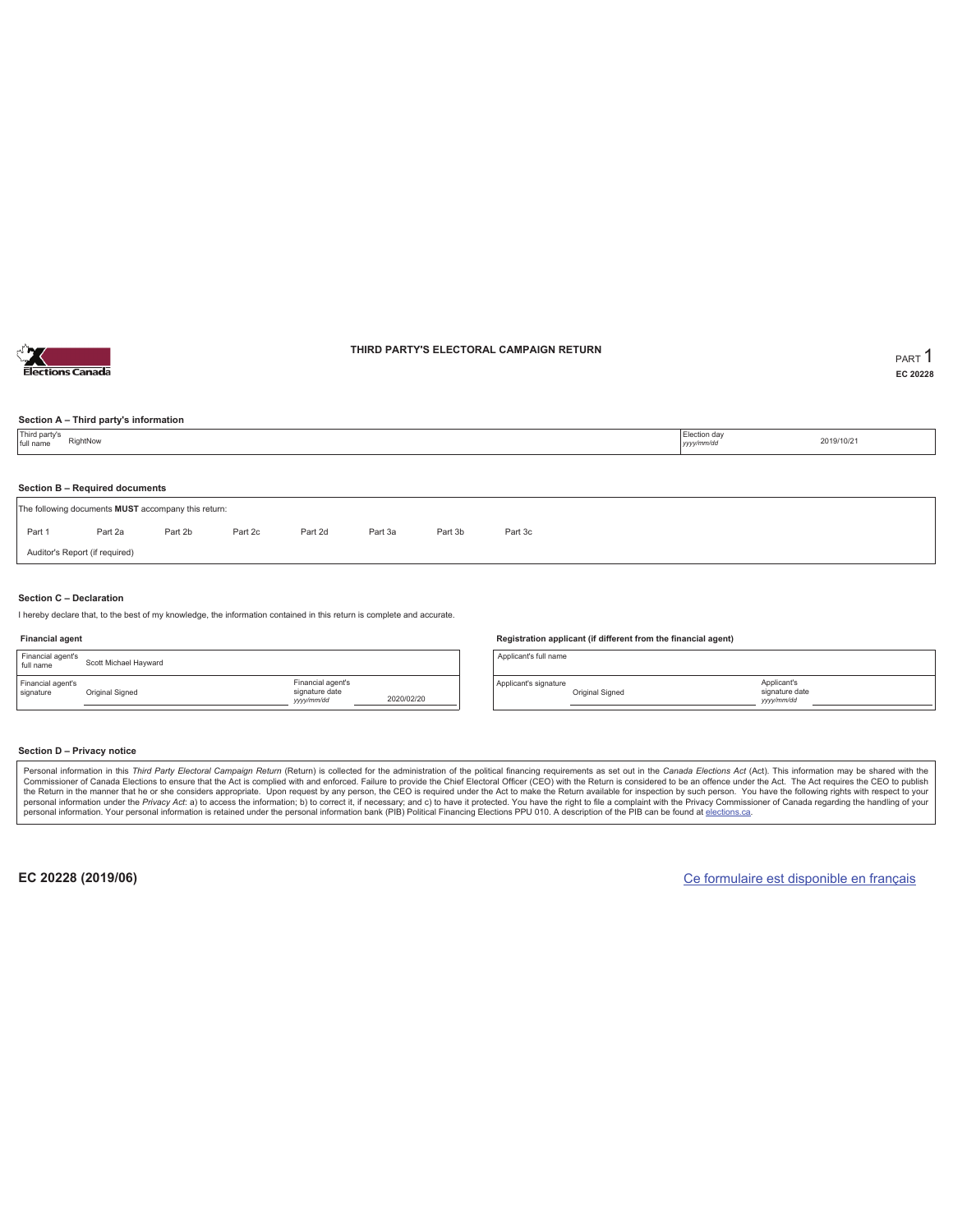

### **THIRD PARTY'S ELECTORAL CAMPAIGN RETURN PART** 1

**EC 20228**

### **Section A – Third party's information**

| Section B - Required documents<br>Part 1<br>Part 2d<br>Part 3c<br>Part 2a<br>Part 2b<br>Part 2c<br>Part 3a<br>Part 3b | Third party's<br>RightNow<br>full name | Election day<br>2019/10/21<br>yyyy/mm/dd |  |  |  |  |  |  |  |  |  |  |  |
|-----------------------------------------------------------------------------------------------------------------------|----------------------------------------|------------------------------------------|--|--|--|--|--|--|--|--|--|--|--|
| The following documents MUST accompany this return:                                                                   |                                        |                                          |  |  |  |  |  |  |  |  |  |  |  |
|                                                                                                                       |                                        |                                          |  |  |  |  |  |  |  |  |  |  |  |
|                                                                                                                       |                                        |                                          |  |  |  |  |  |  |  |  |  |  |  |
| Auditor's Report (if required)                                                                                        |                                        |                                          |  |  |  |  |  |  |  |  |  |  |  |

#### **Section C – Declaration**

I hereby declare that, to the best of my knowledge, the information contained in this return is complete and accurate.

#### **Financial agent**

| Financial agent's<br>full name | Scott Michael Hayward |                                                  |            |
|--------------------------------|-----------------------|--------------------------------------------------|------------|
| Financial agent's<br>signature | Original Signed       | Financial agent's<br>signature date<br>yyy/mm/dd | 2020/02/20 |

#### **Registration applicant (if different from the financial agent)**

Applicant's full name

Applicant's signature Original Signed

#### **Section D – Privacy notice**

Personal information in this Third Party Electoral Campaign Return (Return) is collected for the administration of the political financing requirements as set out in the Canada Elections Act (Act). This information may be Commissioner of Canada Elections to ensure that the Act is complied with and enforced. Failure to provide the Chief Electoral Officer (CEO) with the Return is considered to be an offence under the Act. The Act requires the personal information. Your personal information is retained under the personal information bank (PIB) Political Financing Elections PPU 010. A description of the PIB can be found at elections.ca.

**EC 20228 (2019/06)** Ce formulaire est disponible en français

Applicant's signature date *yyyy/mm/dd*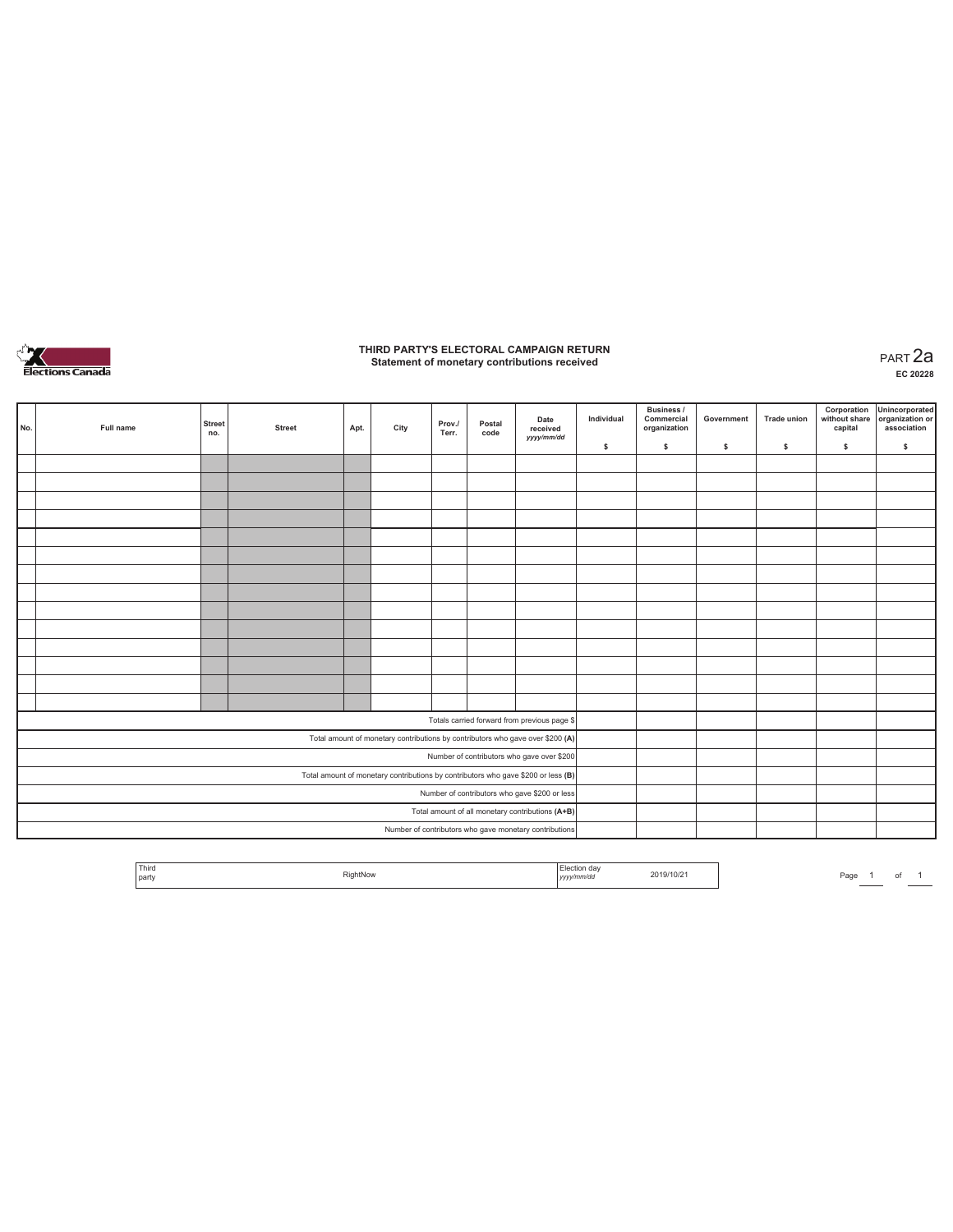

### **THIRD PARTY'S ELECTORAL CAMPAIGN RETURN Statement of monetary contributions received** PART 2a

| No.                                                                               | Full name | <b>Street</b><br>no. | <b>Street</b> | Apt. | City | Prov./<br>Terr. | Postal<br>code | Date<br>received<br>yyyy/mm/dd                                                 | Individual | <b>Business /</b><br>Commercial<br>organization | Government | <b>Trade union</b> | Corporation<br>capital | Unincorporated<br>without share organization or<br>association |
|-----------------------------------------------------------------------------------|-----------|----------------------|---------------|------|------|-----------------|----------------|--------------------------------------------------------------------------------|------------|-------------------------------------------------|------------|--------------------|------------------------|----------------------------------------------------------------|
|                                                                                   |           |                      |               |      |      |                 |                |                                                                                | \$         | \$                                              | \$         | \$                 | \$                     | \$.                                                            |
|                                                                                   |           |                      |               |      |      |                 |                |                                                                                |            |                                                 |            |                    |                        |                                                                |
|                                                                                   |           |                      |               |      |      |                 |                |                                                                                |            |                                                 |            |                    |                        |                                                                |
|                                                                                   |           |                      |               |      |      |                 |                |                                                                                |            |                                                 |            |                    |                        |                                                                |
|                                                                                   |           |                      |               |      |      |                 |                |                                                                                |            |                                                 |            |                    |                        |                                                                |
|                                                                                   |           |                      |               |      |      |                 |                |                                                                                |            |                                                 |            |                    |                        |                                                                |
|                                                                                   |           |                      |               |      |      |                 |                |                                                                                |            |                                                 |            |                    |                        |                                                                |
|                                                                                   |           |                      |               |      |      |                 |                |                                                                                |            |                                                 |            |                    |                        |                                                                |
|                                                                                   |           |                      |               |      |      |                 |                |                                                                                |            |                                                 |            |                    |                        |                                                                |
|                                                                                   |           |                      |               |      |      |                 |                |                                                                                |            |                                                 |            |                    |                        |                                                                |
|                                                                                   |           |                      |               |      |      |                 |                |                                                                                |            |                                                 |            |                    |                        |                                                                |
|                                                                                   |           |                      |               |      |      |                 |                |                                                                                |            |                                                 |            |                    |                        |                                                                |
|                                                                                   |           |                      |               |      |      |                 |                |                                                                                |            |                                                 |            |                    |                        |                                                                |
|                                                                                   |           |                      |               |      |      |                 |                |                                                                                |            |                                                 |            |                    |                        |                                                                |
|                                                                                   |           |                      |               |      |      |                 |                |                                                                                |            |                                                 |            |                    |                        |                                                                |
|                                                                                   |           |                      |               |      |      |                 |                | Totals carried forward from previous page \$                                   |            |                                                 |            |                    |                        |                                                                |
|                                                                                   |           |                      |               |      |      |                 |                | Total amount of monetary contributions by contributors who gave over \$200 (A) |            |                                                 |            |                    |                        |                                                                |
| Number of contributors who gave over \$200                                        |           |                      |               |      |      |                 |                |                                                                                |            |                                                 |            |                    |                        |                                                                |
| Total amount of monetary contributions by contributors who gave \$200 or less (B) |           |                      |               |      |      |                 |                |                                                                                |            |                                                 |            |                    |                        |                                                                |
| Number of contributors who gave \$200 or less                                     |           |                      |               |      |      |                 |                |                                                                                |            |                                                 |            |                    |                        |                                                                |
| Total amount of all monetary contributions (A+B)                                  |           |                      |               |      |      |                 |                |                                                                                |            |                                                 |            |                    |                        |                                                                |
|                                                                                   |           |                      |               |      |      |                 |                | Number of contributors who gave monetary contributions                         |            |                                                 |            |                    |                        |                                                                |

| Third<br>  part | RightNow | $-$<br>da'<br>yyyy/mm/dd | 2019/10/21 | Pagu | ______ |  |  |
|-----------------|----------|--------------------------|------------|------|--------|--|--|
|-----------------|----------|--------------------------|------------|------|--------|--|--|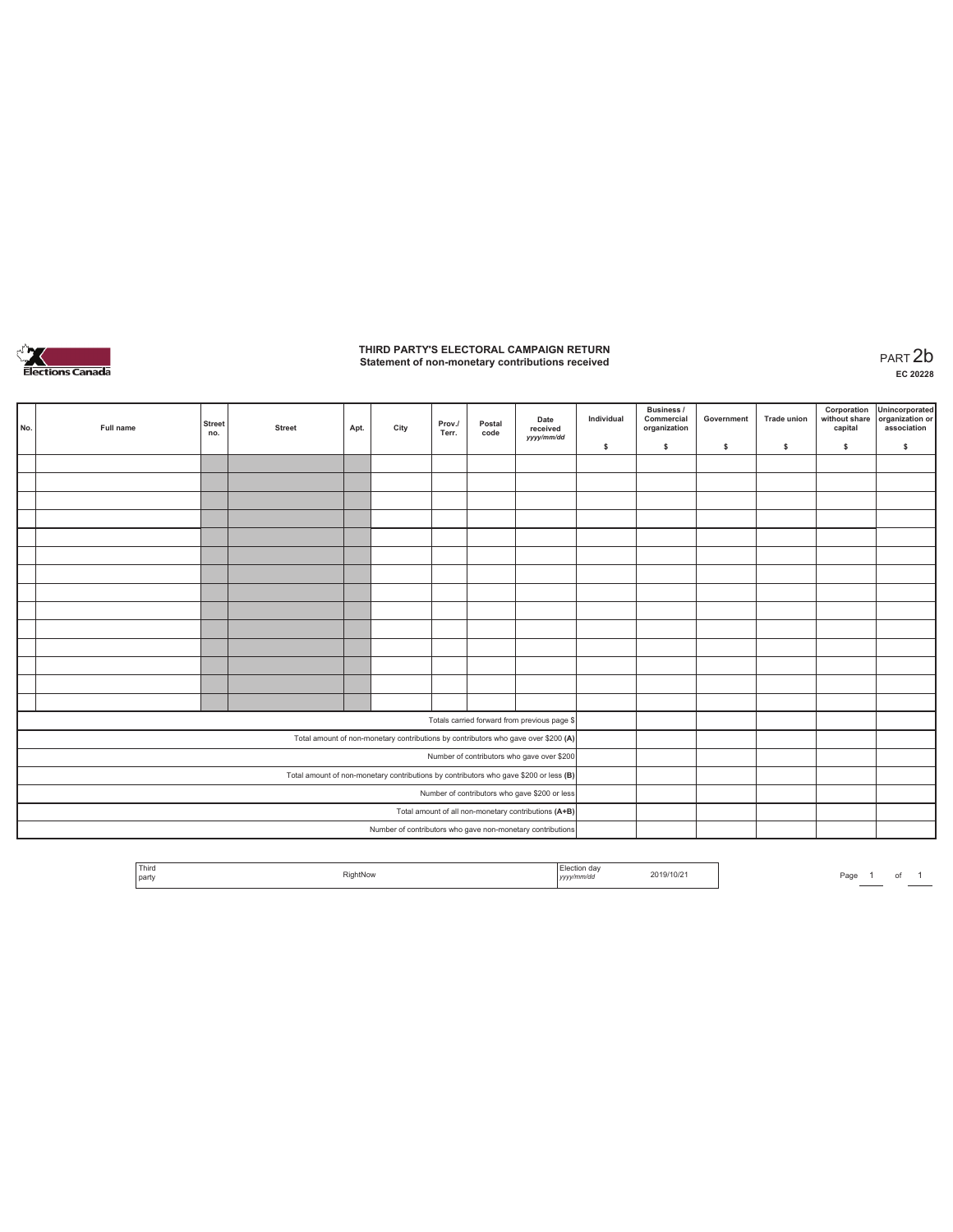

## **THIRD PARTY'S ELECTORAL CAMPAIGN RETURN Statement of non-monetary contributions received** PART 2b

| No.                                                                                   | Full name | <b>Street</b><br>no. | <b>Street</b> | Apt. | City | Prov./<br>Terr. | Postal<br>code | Date<br>received<br>yyyy/mm/dd                                                     | Individual | Business /<br>Commercial<br>organization | Government | <b>Trade union</b> | Corporation<br>without share<br>capital | Unincorporated<br>organization or<br>association |
|---------------------------------------------------------------------------------------|-----------|----------------------|---------------|------|------|-----------------|----------------|------------------------------------------------------------------------------------|------------|------------------------------------------|------------|--------------------|-----------------------------------------|--------------------------------------------------|
|                                                                                       |           |                      |               |      |      |                 |                |                                                                                    | \$         | \$                                       | \$         | \$                 | \$                                      | \$                                               |
|                                                                                       |           |                      |               |      |      |                 |                |                                                                                    |            |                                          |            |                    |                                         |                                                  |
|                                                                                       |           |                      |               |      |      |                 |                |                                                                                    |            |                                          |            |                    |                                         |                                                  |
|                                                                                       |           |                      |               |      |      |                 |                |                                                                                    |            |                                          |            |                    |                                         |                                                  |
|                                                                                       |           |                      |               |      |      |                 |                |                                                                                    |            |                                          |            |                    |                                         |                                                  |
|                                                                                       |           |                      |               |      |      |                 |                |                                                                                    |            |                                          |            |                    |                                         |                                                  |
|                                                                                       |           |                      |               |      |      |                 |                |                                                                                    |            |                                          |            |                    |                                         |                                                  |
|                                                                                       |           |                      |               |      |      |                 |                |                                                                                    |            |                                          |            |                    |                                         |                                                  |
|                                                                                       |           |                      |               |      |      |                 |                |                                                                                    |            |                                          |            |                    |                                         |                                                  |
|                                                                                       |           |                      |               |      |      |                 |                |                                                                                    |            |                                          |            |                    |                                         |                                                  |
|                                                                                       |           |                      |               |      |      |                 |                |                                                                                    |            |                                          |            |                    |                                         |                                                  |
|                                                                                       |           |                      |               |      |      |                 |                |                                                                                    |            |                                          |            |                    |                                         |                                                  |
|                                                                                       |           |                      |               |      |      |                 |                |                                                                                    |            |                                          |            |                    |                                         |                                                  |
|                                                                                       |           |                      |               |      |      |                 |                |                                                                                    |            |                                          |            |                    |                                         |                                                  |
|                                                                                       |           |                      |               |      |      |                 |                |                                                                                    |            |                                          |            |                    |                                         |                                                  |
|                                                                                       |           |                      |               |      |      |                 |                | Totals carried forward from previous page \$                                       |            |                                          |            |                    |                                         |                                                  |
|                                                                                       |           |                      |               |      |      |                 |                | Total amount of non-monetary contributions by contributors who gave over \$200 (A) |            |                                          |            |                    |                                         |                                                  |
| Number of contributors who gave over \$200                                            |           |                      |               |      |      |                 |                |                                                                                    |            |                                          |            |                    |                                         |                                                  |
| Total amount of non-monetary contributions by contributors who gave \$200 or less (B) |           |                      |               |      |      |                 |                |                                                                                    |            |                                          |            |                    |                                         |                                                  |
| Number of contributors who gave \$200 or less                                         |           |                      |               |      |      |                 |                |                                                                                    |            |                                          |            |                    |                                         |                                                  |
|                                                                                       |           |                      |               |      |      |                 |                | Total amount of all non-monetary contributions (A+B)                               |            |                                          |            |                    |                                         |                                                  |
|                                                                                       |           |                      |               |      |      |                 |                | Number of contributors who gave non-monetary contributions                         |            |                                          |            |                    |                                         |                                                  |

| <sup>1</sup> Third<br>the contract of the con-<br>party | <b>PightNow</b> | .<br><b>Contract Contract Contract Contract</b><br>  アアアア<br>,,,,,,, | 2019/10/2 | Page |  |  |
|---------------------------------------------------------|-----------------|----------------------------------------------------------------------|-----------|------|--|--|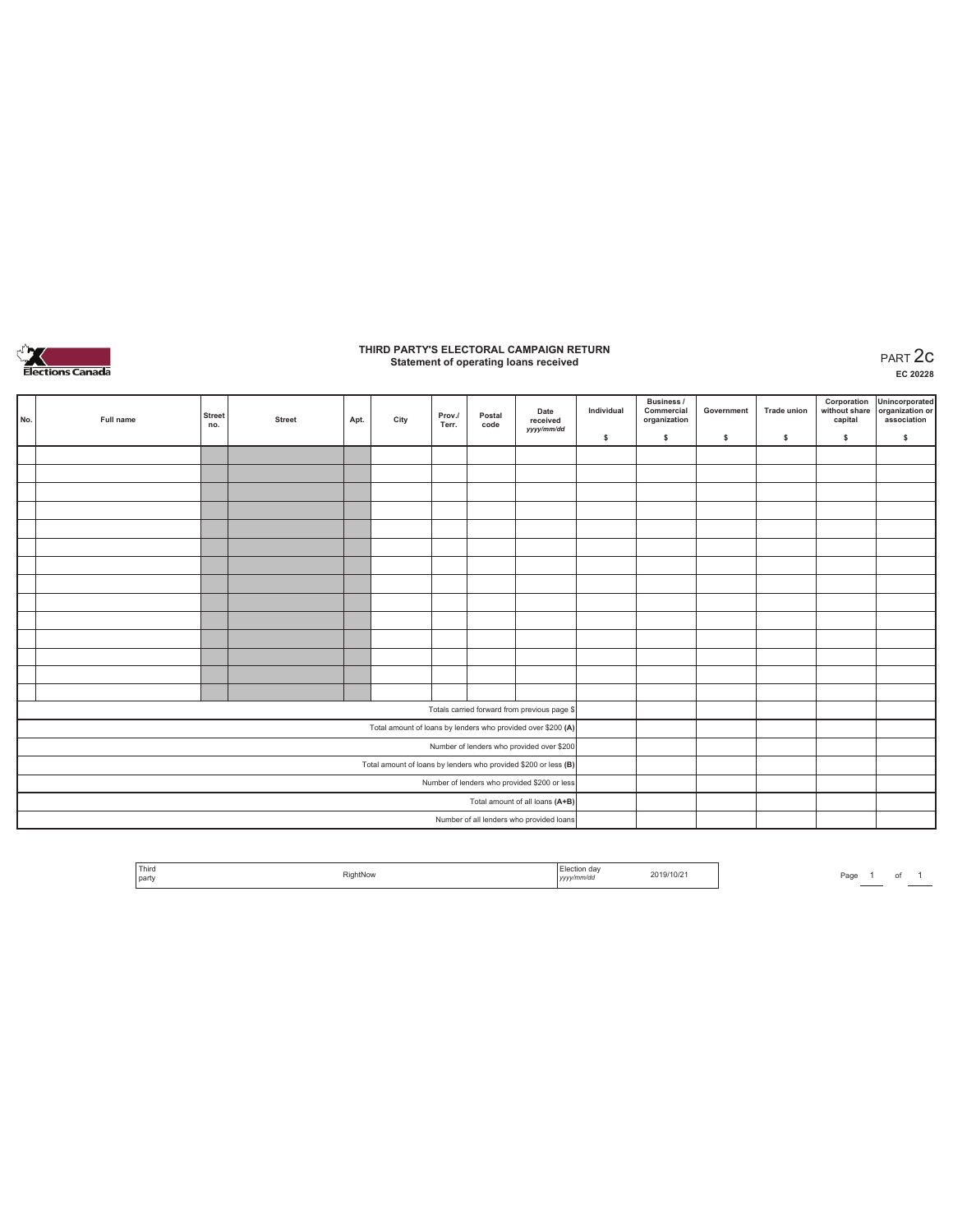

### **THIRD PARTY'S ELECTORAL CAMPAIGN RETURN Statement of operating loans received** PART 2c

|                                                                 | No.                                          | Full name | <b>Street</b><br>no. | <b>Street</b> | Apt. | City | Prov./<br>Terr. | Postal<br>code | Date<br>received<br>yyyy/mm/dd                               | Individual | <b>Business /</b><br>Commercial<br>organization | Government | <b>Trade union</b> | Corporation<br>without share<br>capital | Unincorporated<br>organization or<br>association |
|-----------------------------------------------------------------|----------------------------------------------|-----------|----------------------|---------------|------|------|-----------------|----------------|--------------------------------------------------------------|------------|-------------------------------------------------|------------|--------------------|-----------------------------------------|--------------------------------------------------|
|                                                                 |                                              |           |                      |               |      |      |                 |                |                                                              | \$         | $\mathsf{s}$                                    | s          | s                  | \$                                      | $\mathbb S$                                      |
|                                                                 |                                              |           |                      |               |      |      |                 |                |                                                              |            |                                                 |            |                    |                                         |                                                  |
|                                                                 |                                              |           |                      |               |      |      |                 |                |                                                              |            |                                                 |            |                    |                                         |                                                  |
|                                                                 |                                              |           |                      |               |      |      |                 |                |                                                              |            |                                                 |            |                    |                                         |                                                  |
|                                                                 |                                              |           |                      |               |      |      |                 |                |                                                              |            |                                                 |            |                    |                                         |                                                  |
|                                                                 |                                              |           |                      |               |      |      |                 |                |                                                              |            |                                                 |            |                    |                                         |                                                  |
|                                                                 |                                              |           |                      |               |      |      |                 |                |                                                              |            |                                                 |            |                    |                                         |                                                  |
|                                                                 |                                              |           |                      |               |      |      |                 |                |                                                              |            |                                                 |            |                    |                                         |                                                  |
|                                                                 |                                              |           |                      |               |      |      |                 |                |                                                              |            |                                                 |            |                    |                                         |                                                  |
|                                                                 |                                              |           |                      |               |      |      |                 |                |                                                              |            |                                                 |            |                    |                                         |                                                  |
|                                                                 |                                              |           |                      |               |      |      |                 |                |                                                              |            |                                                 |            |                    |                                         |                                                  |
|                                                                 |                                              |           |                      |               |      |      |                 |                |                                                              |            |                                                 |            |                    |                                         |                                                  |
|                                                                 |                                              |           |                      |               |      |      |                 |                |                                                              |            |                                                 |            |                    |                                         |                                                  |
|                                                                 |                                              |           |                      |               |      |      |                 |                |                                                              |            |                                                 |            |                    |                                         |                                                  |
|                                                                 |                                              |           |                      |               |      |      |                 |                |                                                              |            |                                                 |            |                    |                                         |                                                  |
|                                                                 |                                              |           |                      |               |      |      |                 |                | Totals carried forward from previous page \$                 |            |                                                 |            |                    |                                         |                                                  |
|                                                                 |                                              |           |                      |               |      |      |                 |                | Total amount of loans by lenders who provided over \$200 (A) |            |                                                 |            |                    |                                         |                                                  |
|                                                                 |                                              |           |                      |               |      |      |                 |                | Number of lenders who provided over \$200                    |            |                                                 |            |                    |                                         |                                                  |
| Total amount of loans by lenders who provided \$200 or less (B) |                                              |           |                      |               |      |      |                 |                |                                                              |            |                                                 |            |                    |                                         |                                                  |
|                                                                 | Number of lenders who provided \$200 or less |           |                      |               |      |      |                 |                |                                                              |            |                                                 |            |                    |                                         |                                                  |
|                                                                 |                                              |           |                      |               |      |      |                 |                | Total amount of all loans (A+B)                              |            |                                                 |            |                    |                                         |                                                  |
|                                                                 |                                              |           |                      |               |      |      |                 |                | Number of all lenders who provided loans                     |            |                                                 |            |                    |                                         |                                                  |

| Third<br>party | RightNow | Election day<br>.<br>yyyy/mm/dd | 2019/10/21 | Page |  |  |
|----------------|----------|---------------------------------|------------|------|--|--|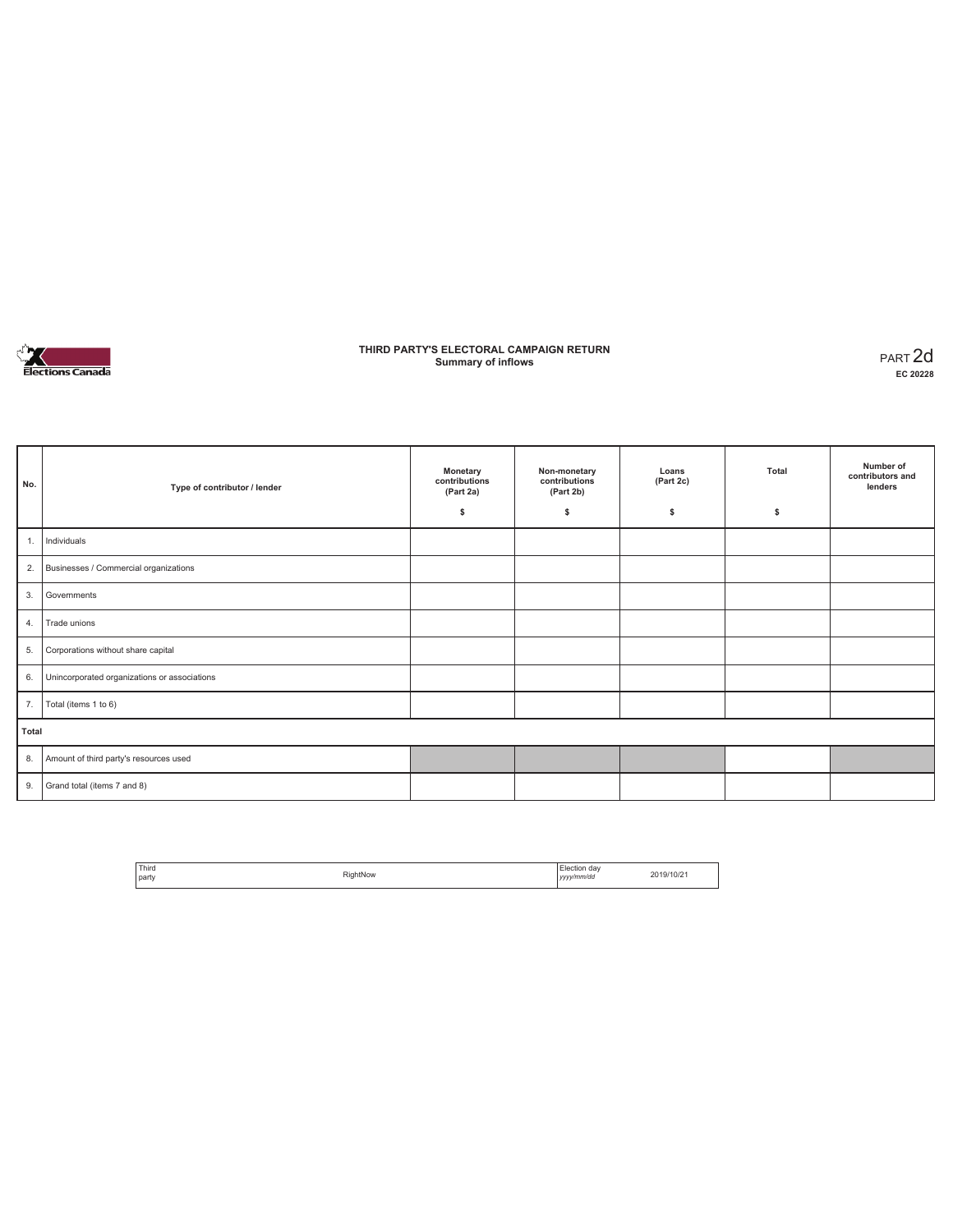

### **THIRD PARTY'S ELECTORAL CAMPAIGN RETURN Summary of inflows** PART 2d

| No.   | Type of contributor / lender                 | Monetary<br>contributions<br>(Part 2a)<br>\$ | Non-monetary<br>contributions<br>(Part 2b)<br>\$ | Loans<br>(Part 2c)<br>s | Total<br>\$ | Number of<br>contributors and<br>lenders |
|-------|----------------------------------------------|----------------------------------------------|--------------------------------------------------|-------------------------|-------------|------------------------------------------|
| 1.    | Individuals                                  |                                              |                                                  |                         |             |                                          |
| 2.    | Businesses / Commercial organizations        |                                              |                                                  |                         |             |                                          |
| 3.    | Governments                                  |                                              |                                                  |                         |             |                                          |
| 4.    | Trade unions                                 |                                              |                                                  |                         |             |                                          |
| 5.    | Corporations without share capital           |                                              |                                                  |                         |             |                                          |
| 6.    | Unincorporated organizations or associations |                                              |                                                  |                         |             |                                          |
| 7.    | Total (items 1 to 6)                         |                                              |                                                  |                         |             |                                          |
| Total |                                              |                                              |                                                  |                         |             |                                          |
| 8.    | Amount of third party's resources used       |                                              |                                                  |                         |             |                                          |
| 9.    | Grand total (items 7 and 8)                  |                                              |                                                  |                         |             |                                          |

| <sup>1</sup> Third | RightNow | Election day | 2019/10/2 |
|--------------------|----------|--------------|-----------|
| <b>Darty</b>       |          | vvvv/mm/dd   |           |
|                    |          | <br>,,,,     |           |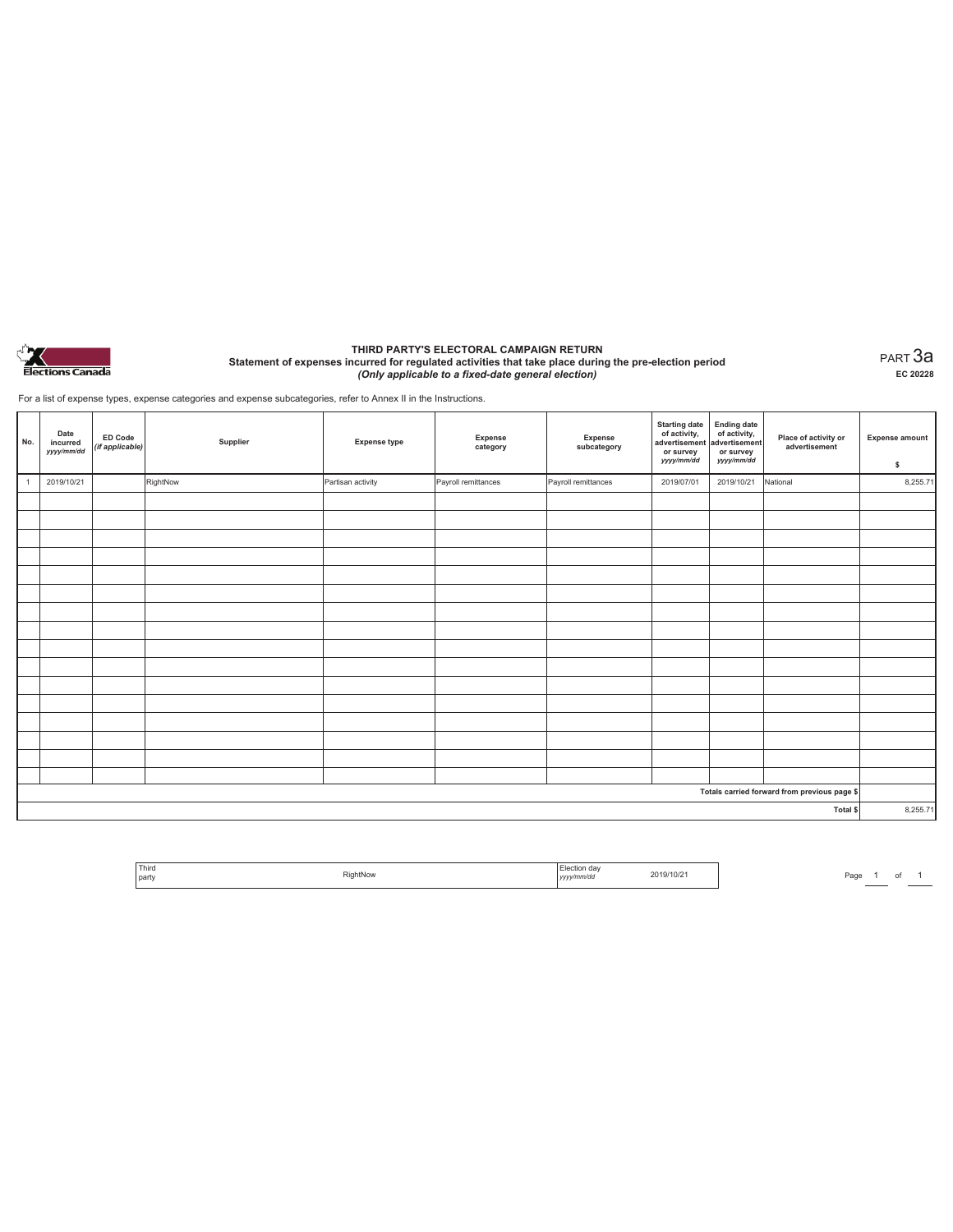

#### **THIRD PARTY'S ELECTORAL CAMPAIGN RETURN Statement of expenses incurred for regulated activities that take place during the pre-election period**  *(Only applicable to a fixed-date general election)*

PART 3a **EC 20228**

For a list of expense types, expense categories and expense subcategories, refer to Annex II in the Instructions.

| No.            | Date<br>incurred<br>yyyy/mm/dd | <b>ED Code</b><br>(if applicable) | Supplier | <b>Expense type</b> | Expense<br>category | Expense<br>subcategory | <b>Starting date</b><br>of activity,<br>advertisement<br>or survey<br>yyyy/mm/dd | Ending date<br>of activity,<br>advertisement<br>or survey<br>yyyy/mm/dd | Place of activity or<br>advertisement        | <b>Expense amount</b><br>\$ |
|----------------|--------------------------------|-----------------------------------|----------|---------------------|---------------------|------------------------|----------------------------------------------------------------------------------|-------------------------------------------------------------------------|----------------------------------------------|-----------------------------|
| $\overline{1}$ | 2019/10/21                     |                                   | RightNow | Partisan activity   | Payroll remittances | Payroll remittances    | 2019/07/01                                                                       | 2019/10/21                                                              | National                                     | 8,255.71                    |
|                |                                |                                   |          |                     |                     |                        |                                                                                  |                                                                         |                                              |                             |
|                |                                |                                   |          |                     |                     |                        |                                                                                  |                                                                         |                                              |                             |
|                |                                |                                   |          |                     |                     |                        |                                                                                  |                                                                         |                                              |                             |
|                |                                |                                   |          |                     |                     |                        |                                                                                  |                                                                         |                                              |                             |
|                |                                |                                   |          |                     |                     |                        |                                                                                  |                                                                         |                                              |                             |
|                |                                |                                   |          |                     |                     |                        |                                                                                  |                                                                         |                                              |                             |
|                |                                |                                   |          |                     |                     |                        |                                                                                  |                                                                         |                                              |                             |
|                |                                |                                   |          |                     |                     |                        |                                                                                  |                                                                         |                                              |                             |
|                |                                |                                   |          |                     |                     |                        |                                                                                  |                                                                         |                                              |                             |
|                |                                |                                   |          |                     |                     |                        |                                                                                  |                                                                         |                                              |                             |
|                |                                |                                   |          |                     |                     |                        |                                                                                  |                                                                         |                                              |                             |
|                |                                |                                   |          |                     |                     |                        |                                                                                  |                                                                         |                                              |                             |
|                |                                |                                   |          |                     |                     |                        |                                                                                  |                                                                         |                                              |                             |
|                |                                |                                   |          |                     |                     |                        |                                                                                  |                                                                         |                                              |                             |
|                |                                |                                   |          |                     |                     |                        |                                                                                  |                                                                         |                                              |                             |
|                |                                |                                   |          |                     |                     |                        |                                                                                  |                                                                         |                                              |                             |
|                |                                |                                   |          |                     |                     |                        |                                                                                  |                                                                         | Totals carried forward from previous page \$ |                             |
|                |                                |                                   |          |                     |                     |                        |                                                                                  |                                                                         | Total \$                                     | 8,255.71                    |

| Third<br>-02<br>tiahtNow<br>party<br>v/mm/dc | 19/10/k |
|----------------------------------------------|---------|
|----------------------------------------------|---------|

Page 1 of 1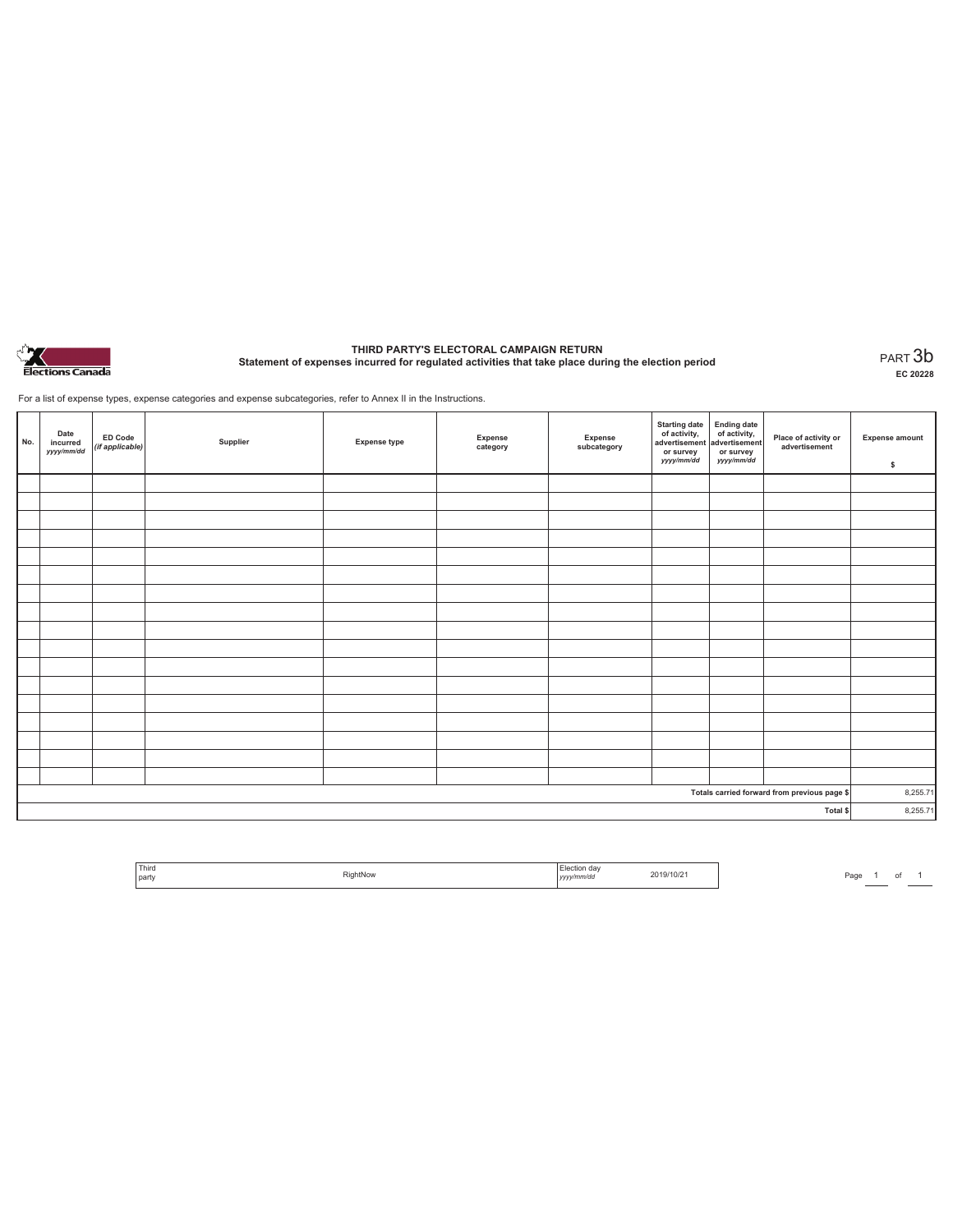

# **THIRD PARTY'S ELECTORAL CAMPAIGN RETURN Statement of expenses incurred for regulated activities that take place during the election period** PART 3b

**EC 20228**

For a list of expense types, expense categories and expense subcategories, refer to Annex II in the Instructions.

| No.                                          | Date<br>incurred<br>yyyy/mm/dd | <b>ED Code</b><br>(if applicable) | Supplier | <b>Expense type</b> | Expense<br>category | Expense<br>subcategory | Starting date<br>of activity,<br>advertisement<br>or survey<br>yyyy/mm/dd | Ending date<br>of activity,<br>advertisement<br>or survey<br>yyyy/mm/dd | Place of activity or<br>advertisement | <b>Expense amount</b><br>\$ |
|----------------------------------------------|--------------------------------|-----------------------------------|----------|---------------------|---------------------|------------------------|---------------------------------------------------------------------------|-------------------------------------------------------------------------|---------------------------------------|-----------------------------|
|                                              |                                |                                   |          |                     |                     |                        |                                                                           |                                                                         |                                       |                             |
|                                              |                                |                                   |          |                     |                     |                        |                                                                           |                                                                         |                                       |                             |
|                                              |                                |                                   |          |                     |                     |                        |                                                                           |                                                                         |                                       |                             |
|                                              |                                |                                   |          |                     |                     |                        |                                                                           |                                                                         |                                       |                             |
|                                              |                                |                                   |          |                     |                     |                        |                                                                           |                                                                         |                                       |                             |
|                                              |                                |                                   |          |                     |                     |                        |                                                                           |                                                                         |                                       |                             |
|                                              |                                |                                   |          |                     |                     |                        |                                                                           |                                                                         |                                       |                             |
|                                              |                                |                                   |          |                     |                     |                        |                                                                           |                                                                         |                                       |                             |
|                                              |                                |                                   |          |                     |                     |                        |                                                                           |                                                                         |                                       |                             |
|                                              |                                |                                   |          |                     |                     |                        |                                                                           |                                                                         |                                       |                             |
|                                              |                                |                                   |          |                     |                     |                        |                                                                           |                                                                         |                                       |                             |
|                                              |                                |                                   |          |                     |                     |                        |                                                                           |                                                                         |                                       |                             |
|                                              |                                |                                   |          |                     |                     |                        |                                                                           |                                                                         |                                       |                             |
|                                              |                                |                                   |          |                     |                     |                        |                                                                           |                                                                         |                                       |                             |
|                                              |                                |                                   |          |                     |                     |                        |                                                                           |                                                                         |                                       |                             |
|                                              |                                |                                   |          |                     |                     |                        |                                                                           |                                                                         |                                       |                             |
|                                              |                                |                                   |          |                     |                     |                        |                                                                           |                                                                         |                                       |                             |
| Totals carried forward from previous page \$ |                                |                                   |          |                     |                     | 8,255.71               |                                                                           |                                                                         |                                       |                             |
| Total \$                                     |                                |                                   |          |                     |                     | 8,255.71               |                                                                           |                                                                         |                                       |                             |

| Third<br>tNov<br>party |  | œ<br>w/mm/do | 210/z |
|------------------------|--|--------------|-------|
|------------------------|--|--------------|-------|

Page 1 of 1